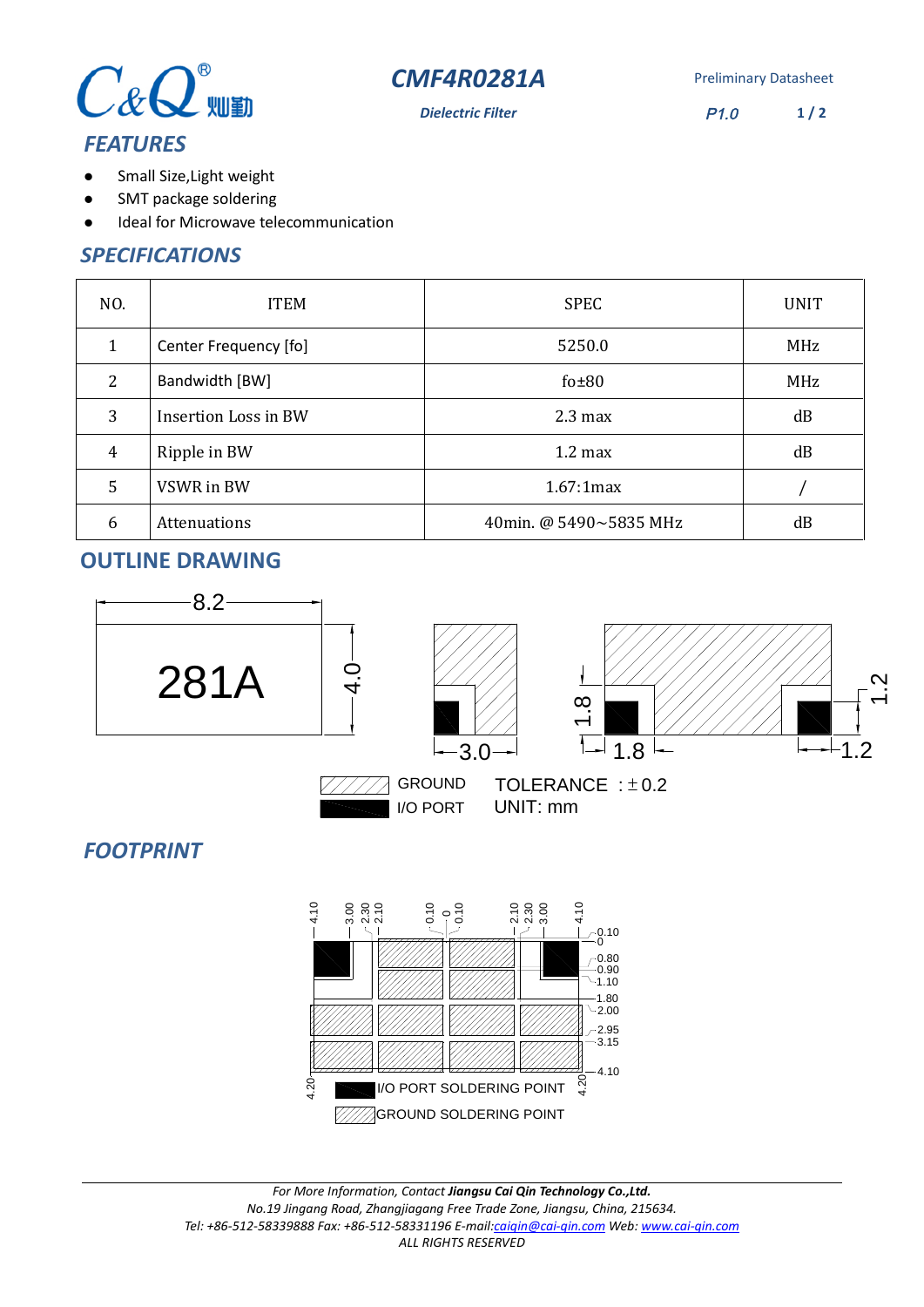



**Dielectric Filter** P1.0  $1/2$ 

# *FEATURES*

- Small Size,Light weight  $\bullet$
- SMT package soldering  $\bullet$
- Ideal for Microwave telecommunication  $\bullet$

### *SPECIFICATIONS*

| NO.            | <b>ITEM</b>                 | <b>SPEC</b>            | <b>UNIT</b> |
|----------------|-----------------------------|------------------------|-------------|
| 1              | Center Frequency [fo]       | 5250.0                 | MHz         |
| $\overline{2}$ | Bandwidth [BW]              | $f0\pm80$              | MHz         |
| 3              | <b>Insertion Loss in BW</b> | $2.3 \text{ max}$      | dB          |
| $\overline{4}$ | Ripple in BW                | $1.2 \text{ max}$      | dB          |
| 5              | VSWR in BW                  | 1.67:1max              |             |
| 6              | <b>Attenuations</b>         | 40min. @ 5490~5835 MHz | dB          |

## **OUTLINE DRAWING**



4.20